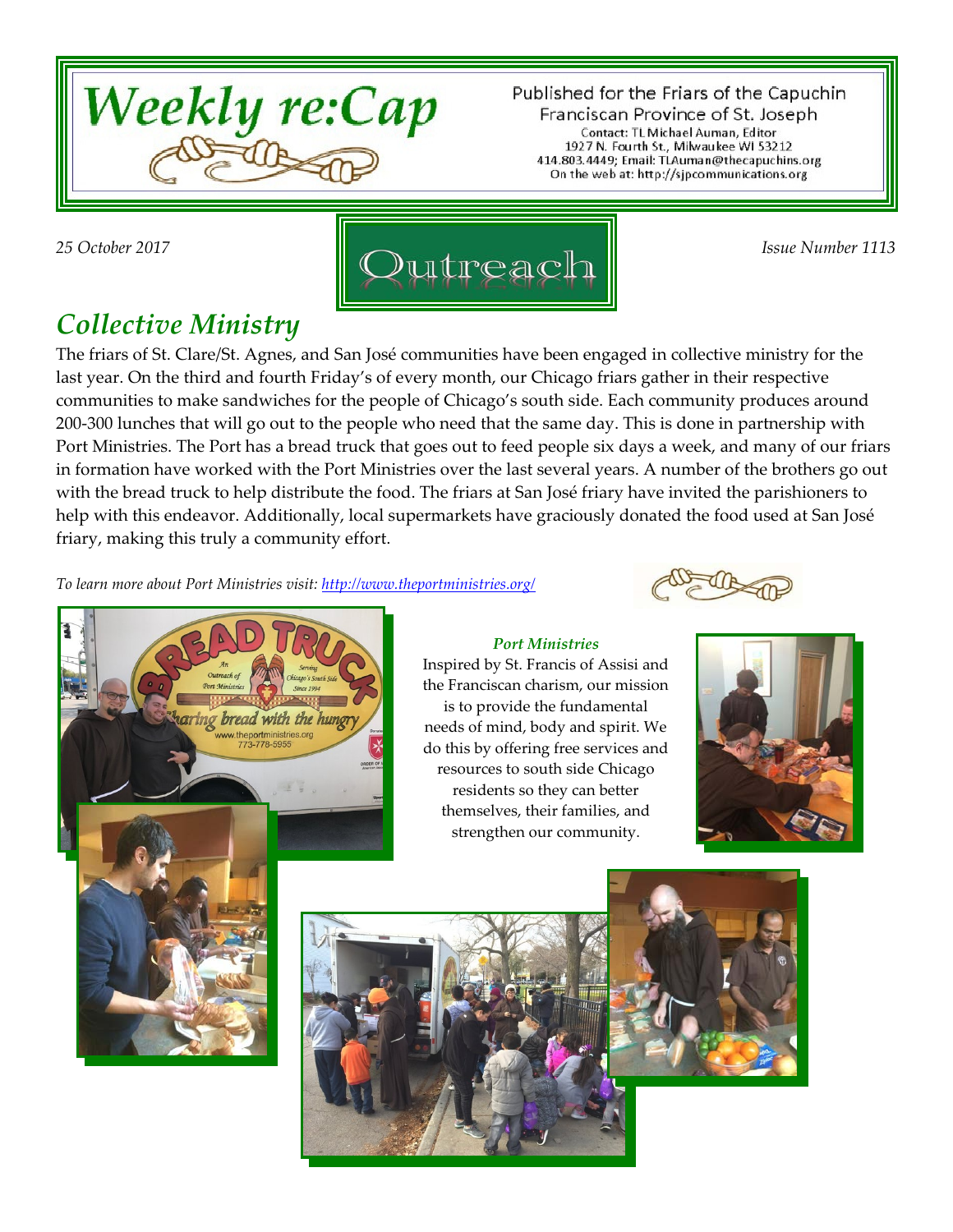

Published for the Friars of the Capuchin Franciscan Province of St. Joseph Contact: TL Michael Auman, Editor 1927 N. Fourth St., Milwaukee WI 53212 414.803.4449; Email: TLAuman@thecapuchins.org On the web at: http://sjpcommunications.org



## *Collective Ministry*

The friars of St. Clare/St. Agnes, and San José communities have been engaged in collective ministry for the last year. On the third and fourth Friday's of every month, our Chicago friars gather in their respective communities to make sandwiches for the people of Chicago's south side. Each community produces around 200-300 lunches that will go out to the people who need that the same day. This is done in partnership with Port Ministries. The Port has a bread truck that goes out to feed people six days a week, and many of our friars in formation have worked with the Port Ministries over the last several years. A number of the brothers go out with the bread truck to help distribute the food. The friars at San José friary have invited the parishioners to help with this endeavor. Additionally, local supermarkets have graciously donated the food used at San José friary, making this truly a community effort.

*To learn more about Port Ministries visit:<http://www.theportministries.org/>*

ng bread with the hung ww.theportministries.org<br>773-778-5955









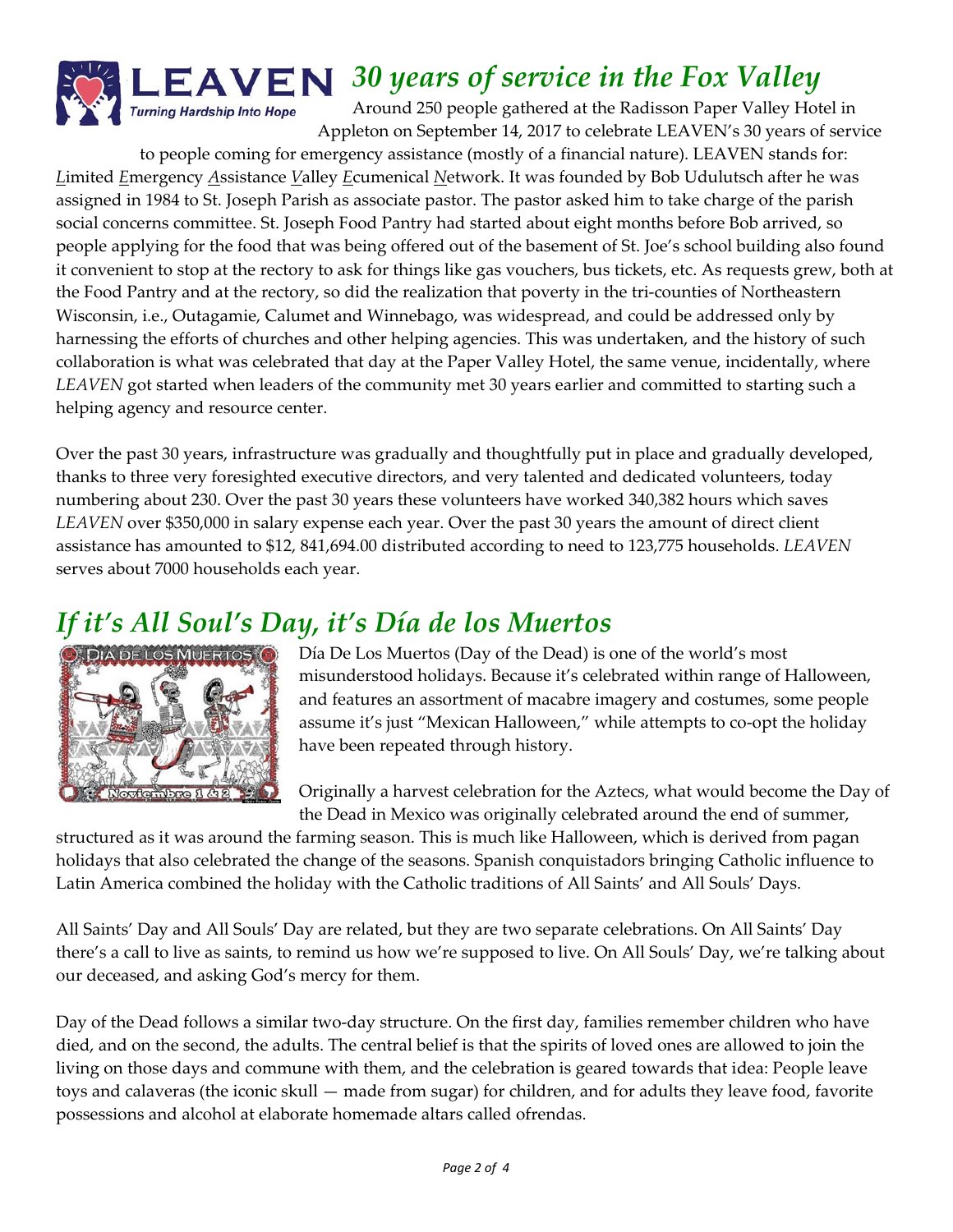

*30 years of service in the Fox Valley*

Around 250 people gathered at the Radisson Paper Valley Hotel in Appleton on September 14, 2017 to celebrate LEAVEN's 30 years of service

to people coming for emergency assistance (mostly of a financial nature). LEAVEN stands for: *L*imited *E*mergency *A*ssistance *V*alley *E*cumenical *N*etwork. It was founded by Bob Udulutsch after he was assigned in 1984 to St. Joseph Parish as associate pastor. The pastor asked him to take charge of the parish social concerns committee. St. Joseph Food Pantry had started about eight months before Bob arrived, so people applying for the food that was being offered out of the basement of St. Joe's school building also found it convenient to stop at the rectory to ask for things like gas vouchers, bus tickets, etc. As requests grew, both at the Food Pantry and at the rectory, so did the realization that poverty in the tri-counties of Northeastern Wisconsin, i.e., Outagamie, Calumet and Winnebago, was widespread, and could be addressed only by harnessing the efforts of churches and other helping agencies. This was undertaken, and the history of such collaboration is what was celebrated that day at the Paper Valley Hotel, the same venue, incidentally, where *LEAVEN* got started when leaders of the community met 30 years earlier and committed to starting such a helping agency and resource center.

Over the past 30 years, infrastructure was gradually and thoughtfully put in place and gradually developed, thanks to three very foresighted executive directors, and very talented and dedicated volunteers, today numbering about 230. Over the past 30 years these volunteers have worked 340,382 hours which saves *LEAVEN* over \$350,000 in salary expense each year. Over the past 30 years the amount of direct client assistance has amounted to \$12, 841,694.00 distributed according to need to 123,775 households. *LEAVEN* serves about 7000 households each year.

## *If it's All Soul's Day, it's Día de los Muertos*



Día De Los Muertos (Day of the Dead) is one of the world's most misunderstood holidays. Because it's celebrated within range of Halloween, and features an assortment of macabre imagery and costumes, some people assume it's just "Mexican Halloween," while attempts to co-opt the holiday have been repeated through history.

Originally a harvest celebration for the Aztecs, what would become the Day of the Dead in Mexico was originally celebrated around the end of summer,

structured as it was around the farming season. This is much like Halloween, which is derived from pagan holidays that also celebrated the change of the seasons. Spanish conquistadors bringing Catholic influence to Latin America combined the holiday with the Catholic traditions of All Saints' and All Souls' Days.

All Saints' Day and All Souls' Day are related, but they are two separate celebrations. On All Saints' Day there's a call to live as saints, to remind us how we're supposed to live. On All Souls' Day, we're talking about our deceased, and asking God's mercy for them.

Day of the Dead follows a similar two-day structure. On the first day, families remember children who have died, and on the second, the adults. The central belief is that the spirits of loved ones are allowed to join the living on those days and commune with them, and the celebration is geared towards that idea: People leave toys and calaveras (the iconic skull — made from sugar) for children, and for adults they leave food, favorite possessions and alcohol at elaborate homemade altars called ofrendas.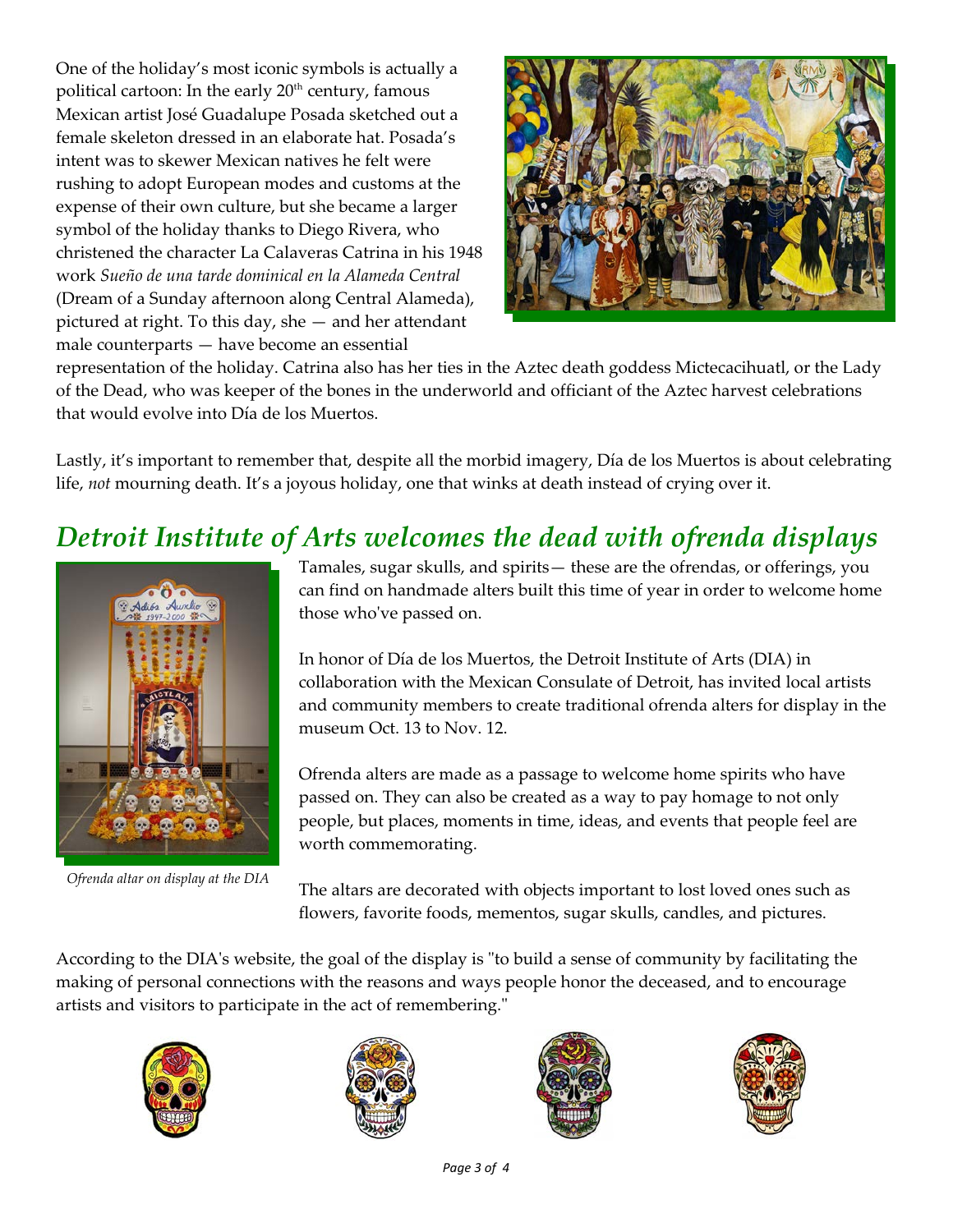One of the holiday's most iconic symbols is actually a political cartoon: In the early  $20<sup>th</sup>$  century, famous Mexican artist José Guadalupe Posada sketched out a female skeleton dressed in an elaborate hat. Posada's intent was to skewer Mexican natives he felt were rushing to adopt European modes and customs at the expense of their own culture, but she became a larger symbol of the holiday thanks to Diego Rivera, who christened the character La Calaveras Catrina in his 1948 work *Sueño de una tarde dominical en la Alameda Central* (Dream of a Sunday afternoon along Central Alameda), pictured at right. To this day, she — and her attendant male counterparts — have become an essential



representation of the holiday. Catrina also has her ties in the Aztec death goddess Mictecacihuatl, or the Lady of the Dead, who was keeper of the bones in the underworld and officiant of the Aztec harvest celebrations that would evolve into Día de los Muertos.

Lastly, it's important to remember that, despite all the morbid imagery, Día de los Muertos is about celebrating life, *not* mourning death. It's a joyous holiday, one that winks at death instead of crying over it.

# *Detroit Institute of Arts welcomes the dead with ofrenda displays*



*Ofrenda altar on display at the DIA*

Tamales, sugar skulls, and spirits— these are the ofrendas, or offerings, you can find on handmade alters built this time of year in order to welcome home those who've passed on.

In honor of Día de los Muertos, the Detroit Institute of Arts (DIA) in collaboration with the Mexican Consulate of Detroit, has invited local artists and community members to create traditional ofrenda alters for display in the museum Oct. 13 to Nov. 12.

Ofrenda alters are made as a passage to welcome home spirits who have passed on. They can also be created as a way to pay homage to not only people, but places, moments in time, ideas, and events that people feel are worth commemorating.

The altars are decorated with objects important to lost loved ones such as flowers, favorite foods, mementos, sugar skulls, candles, and pictures.

According to the DIA's website, the goal of the display is "to build a sense of community by facilitating the making of personal connections with the reasons and ways people honor the deceased, and to encourage artists and visitors to participate in the act of remembering."